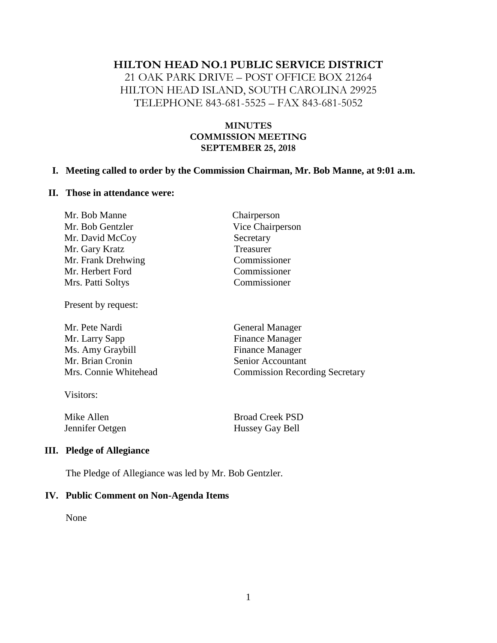#### **HILTON HEAD NO.1 PUBLIC SERVICE DISTRICT**

21 OAK PARK DRIVE – POST OFFICE BOX 21264 HILTON HEAD ISLAND, SOUTH CAROLINA 29925 TELEPHONE 843-681-5525 – FAX 843-681-5052

### **MINUTES COMMISSION MEETING SEPTEMBER 25, 2018**

#### **I. Meeting called to order by the Commission Chairman, Mr. Bob Manne, at 9:01 a.m.**

### **II. Those in attendance were:**

| Chairperson<br>Mr. Bob Manne         |  |
|--------------------------------------|--|
| Vice Chairperson<br>Mr. Bob Gentzler |  |
| Mr. David McCoy<br>Secretary         |  |
| Treasurer<br>Mr. Gary Kratz          |  |
| Mr. Frank Drehwing<br>Commissioner   |  |
| Commissioner<br>Mr. Herbert Ford     |  |
| Commissioner<br>Mrs. Patti Soltys    |  |

Present by request:

| Mr. Pete Nardi        | <b>General Manager</b>                |
|-----------------------|---------------------------------------|
| Mr. Larry Sapp        | <b>Finance Manager</b>                |
| Ms. Amy Graybill      | <b>Finance Manager</b>                |
| Mr. Brian Cronin      | Senior Accountant                     |
| Mrs. Connie Whitehead | <b>Commission Recording Secretary</b> |
|                       |                                       |

Visitors:

Mike Allen Broad Creek PSD Jennifer Oetgen Hussey Gay Bell

#### **III. Pledge of Allegiance**

The Pledge of Allegiance was led by Mr. Bob Gentzler.

#### **IV. Public Comment on Non-Agenda Items**

None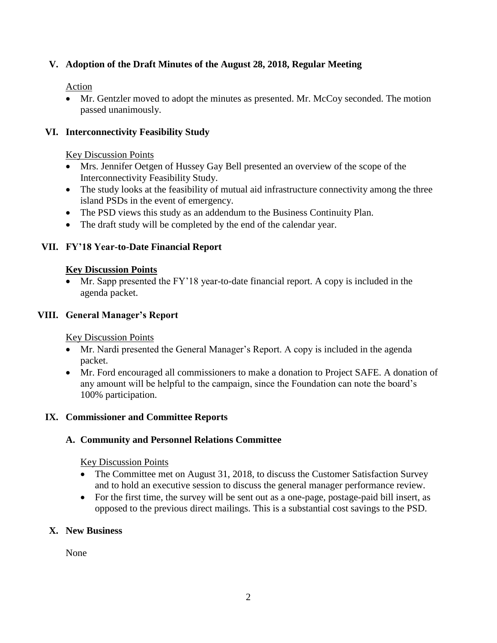# **V. Adoption of the Draft Minutes of the August 28, 2018, Regular Meeting**

Action

• Mr. Gentzler moved to adopt the minutes as presented. Mr. McCoy seconded. The motion passed unanimously.

## **VI. Interconnectivity Feasibility Study**

Key Discussion Points

- Mrs. Jennifer Oetgen of Hussey Gay Bell presented an overview of the scope of the Interconnectivity Feasibility Study.
- The study looks at the feasibility of mutual aid infrastructure connectivity among the three island PSDs in the event of emergency.
- The PSD views this study as an addendum to the Business Continuity Plan.
- The draft study will be completed by the end of the calendar year.

### **VII. FY'18 Year-to-Date Financial Report**

#### **Key Discussion Points**

Mr. Sapp presented the FY'18 year-to-date financial report. A copy is included in the agenda packet.

### **VIII. General Manager's Report**

Key Discussion Points

- Mr. Nardi presented the General Manager's Report. A copy is included in the agenda packet.
- Mr. Ford encouraged all commissioners to make a donation to Project SAFE. A donation of any amount will be helpful to the campaign, since the Foundation can note the board's 100% participation.

## **IX. Commissioner and Committee Reports**

## **A. Community and Personnel Relations Committee**

Key Discussion Points

- The Committee met on August 31, 2018, to discuss the Customer Satisfaction Survey and to hold an executive session to discuss the general manager performance review.
- For the first time, the survey will be sent out as a one-page, postage-paid bill insert, as opposed to the previous direct mailings. This is a substantial cost savings to the PSD.

## **X. New Business**

None